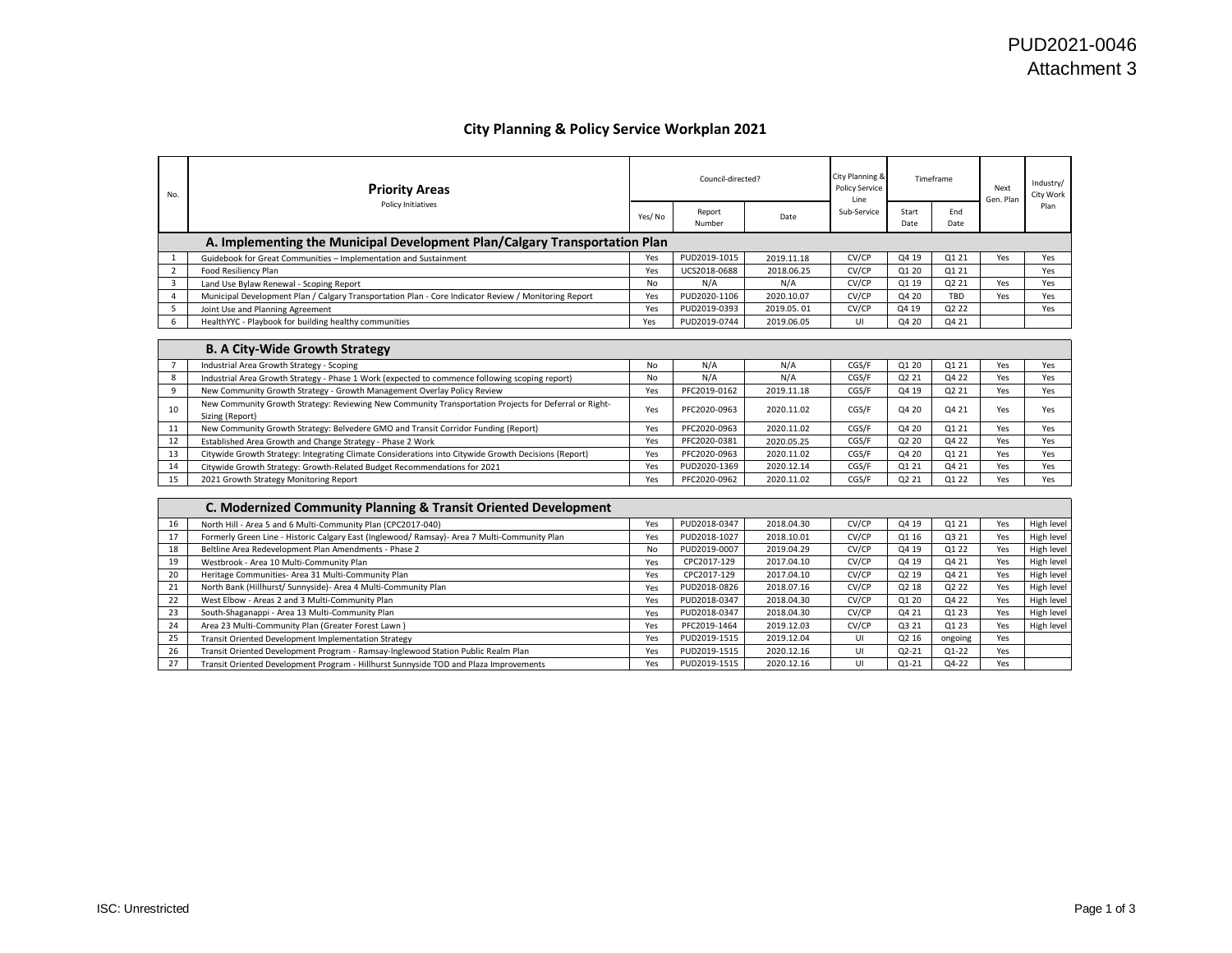## **City Planning & Policy Service Workplan 2021**

| No.            | <b>Priority Areas</b>                                                                                                    |           | City Planning &<br>Council-directed?<br>Timeframe<br>Policy Service<br>Line |            |             | Next<br>Gen. Plan | Industry/<br>City Work |     |            |
|----------------|--------------------------------------------------------------------------------------------------------------------------|-----------|-----------------------------------------------------------------------------|------------|-------------|-------------------|------------------------|-----|------------|
|                | Policy Initiatives                                                                                                       | Yes/No    | Report<br>Number                                                            | Date       | Sub-Service | Start<br>Date     | End<br>Date            |     | Plan       |
|                | A. Implementing the Municipal Development Plan/Calgary Transportation Plan                                               |           |                                                                             |            |             |                   |                        |     |            |
| 1              | Guidebook for Great Communities - Implementation and Sustainment                                                         | Yes       | PUD2019-1015                                                                | 2019.11.18 | CV/CP       | Q4 19             | Q1 21                  | Yes | Yes        |
| $\overline{2}$ | Food Resiliency Plan                                                                                                     | Yes       | UCS2018-0688                                                                | 2018.06.25 | CV/CP       | Q1 20             | 01 21                  |     | Yes        |
| $\overline{3}$ | Land Use Bylaw Renewal - Scoping Report                                                                                  | No        | N/A                                                                         | N/A        | CV/CP       | Q1 19             | Q2 21                  | Yes | Yes        |
| 4              | Municipal Development Plan / Calgary Transportation Plan - Core Indicator Review / Monitoring Report                     | Yes       | PUD2020-1106                                                                | 2020.10.07 | CV/CP       | Q4 20             | <b>TBD</b>             | Yes | Yes        |
| 5              | Joint Use and Planning Agreement                                                                                         | Yes       | PUD2019-0393                                                                | 2019.05.01 | CV/CP       | Q4 19             | Q2 22                  |     | Yes        |
| 6              | HealthYYC - Playbook for building healthy communities                                                                    | Yes       | PUD2019-0744                                                                | 2019.06.05 | UI          | Q4 20             | Q4 21                  |     |            |
|                |                                                                                                                          |           |                                                                             |            |             |                   |                        |     |            |
|                | <b>B. A City-Wide Growth Strategy</b>                                                                                    |           |                                                                             |            |             |                   |                        |     |            |
| 7              | Industrial Area Growth Strategy - Scoping                                                                                | No        | N/A                                                                         | N/A        | CGS/F       | Q1 20             | 01 21                  | Yes | Yes        |
| 8              | Industrial Area Growth Strategy - Phase 1 Work (expected to commence following scoping report)                           | No        | N/A                                                                         | N/A        | CGS/F       | Q2 21             | Q4 22                  | Yes | Yes        |
| 9              | New Community Growth Strategy - Growth Management Overlay Policy Review                                                  | Yes       | PFC2019-0162                                                                | 2019.11.18 | CGS/F       | Q4 19             | Q2 21                  | Yes | Yes        |
| 10             | New Community Growth Strategy: Reviewing New Community Transportation Projects for Deferral or Right-<br>Sizing (Report) | Yes       | PFC2020-0963                                                                | 2020.11.02 | CGS/F       | Q4 20             | Q4 21                  | Yes | Yes        |
| 11             | New Community Growth Strategy: Belvedere GMO and Transit Corridor Funding (Report)                                       | Yes       | PFC2020-0963                                                                | 2020.11.02 | CGS/F       | Q4 20             | Q1 21                  | Yes | Yes        |
| 12             | Established Area Growth and Change Strategy - Phase 2 Work                                                               | Yes       | PFC2020-0381                                                                | 2020.05.25 | CGS/F       | Q2 20             | Q4 22                  | Yes | Yes        |
| 13             | Citywide Growth Strategy: Integrating Climate Considerations into Citywide Growth Decisions (Report)                     | Yes       | PFC2020-0963                                                                | 2020.11.02 | CGS/F       | Q4 20             | 01 21                  | Yes | Yes        |
| 14             | Citywide Growth Strategy: Growth-Related Budget Recommendations for 2021                                                 | Yes       | PUD2020-1369                                                                | 2020.12.14 | CGS/F       | Q1 21             | Q4 21                  | Yes | Yes        |
| 15             | 2021 Growth Strategy Monitoring Report                                                                                   | Yes       | PFC2020-0962                                                                | 2020.11.02 | CGS/F       | Q2 21             | Q1 22                  | Yes | Yes        |
|                |                                                                                                                          |           |                                                                             |            |             |                   |                        |     |            |
|                | C. Modernized Community Planning & Transit Oriented Development                                                          |           |                                                                             |            |             |                   |                        |     |            |
| 16             | North Hill - Area 5 and 6 Multi-Community Plan (CPC2017-040)                                                             | Yes       | PUD2018-0347                                                                | 2018.04.30 | CV/CP       | Q4 19             | 01 21                  | Yes | High level |
| 17             | Formerly Green Line - Historic Calgary East (Inglewood/ Ramsay)- Area 7 Multi-Community Plan                             | Yes       | PUD2018-1027                                                                | 2018.10.01 | CV/CP       | Q1 16             | Q3 21                  | Yes | High level |
| 18             | Beltline Area Redevelopment Plan Amendments - Phase 2                                                                    | <b>No</b> | PUD2019-0007                                                                | 2019.04.29 | CV/CP       | Q4 19             | Q1 22                  | Yes | High level |
| 19             | Westbrook - Area 10 Multi-Community Plan                                                                                 | Yes       | CPC2017-129                                                                 | 2017.04.10 | CV/CP       | Q4 19             | Q4 21                  | Yes | High level |
| 20             | Heritage Communities- Area 31 Multi-Community Plan                                                                       | Yes       | CPC2017-129                                                                 | 2017.04.10 | CV/CP       | Q2 19             | Q4 21                  | Yes | High level |
| 21             | North Bank (Hillhurst/ Sunnyside)- Area 4 Multi-Community Plan                                                           | Yes       | PUD2018-0826                                                                | 2018.07.16 | CV/CP       | Q2 18             | Q2 22                  | Yes | High level |
| 22             | West Elbow - Areas 2 and 3 Multi-Community Plan                                                                          | Yes       | PUD2018-0347                                                                | 2018.04.30 | CV/CP       | Q1 20             | Q4 22                  | Yes | High level |
| 23             | South-Shaganappi - Area 13 Multi-Community Plan                                                                          | Yes       | PUD2018-0347                                                                | 2018.04.30 | CV/CP       | Q4 21             | Q1 23                  | Yes | High level |
| 24             | Area 23 Multi-Community Plan (Greater Forest Lawn)                                                                       | Yes       | PFC2019-1464                                                                | 2019.12.03 | CV/CP       | Q3 21             | Q1 23                  | Yes | High level |
| 25             | Transit Oriented Development Implementation Strategy                                                                     | Yes       | PUD2019-1515                                                                | 2019.12.04 | UI          | Q2 16             | ongoing                | Yes |            |
| 26             | Transit Oriented Development Program - Ramsay-Inglewood Station Public Realm Plan                                        | Yes       | PUD2019-1515                                                                | 2020.12.16 | UI          | $Q2 - 21$         | $Q1 - 22$              | Yes |            |
| 27             | Transit Oriented Development Program - Hillhurst Sunnyside TOD and Plaza Improvements                                    | Yes       | PUD2019-1515                                                                | 2020.12.16 | UI          | $Q1 - 21$         | $Q4-22$                | Yes |            |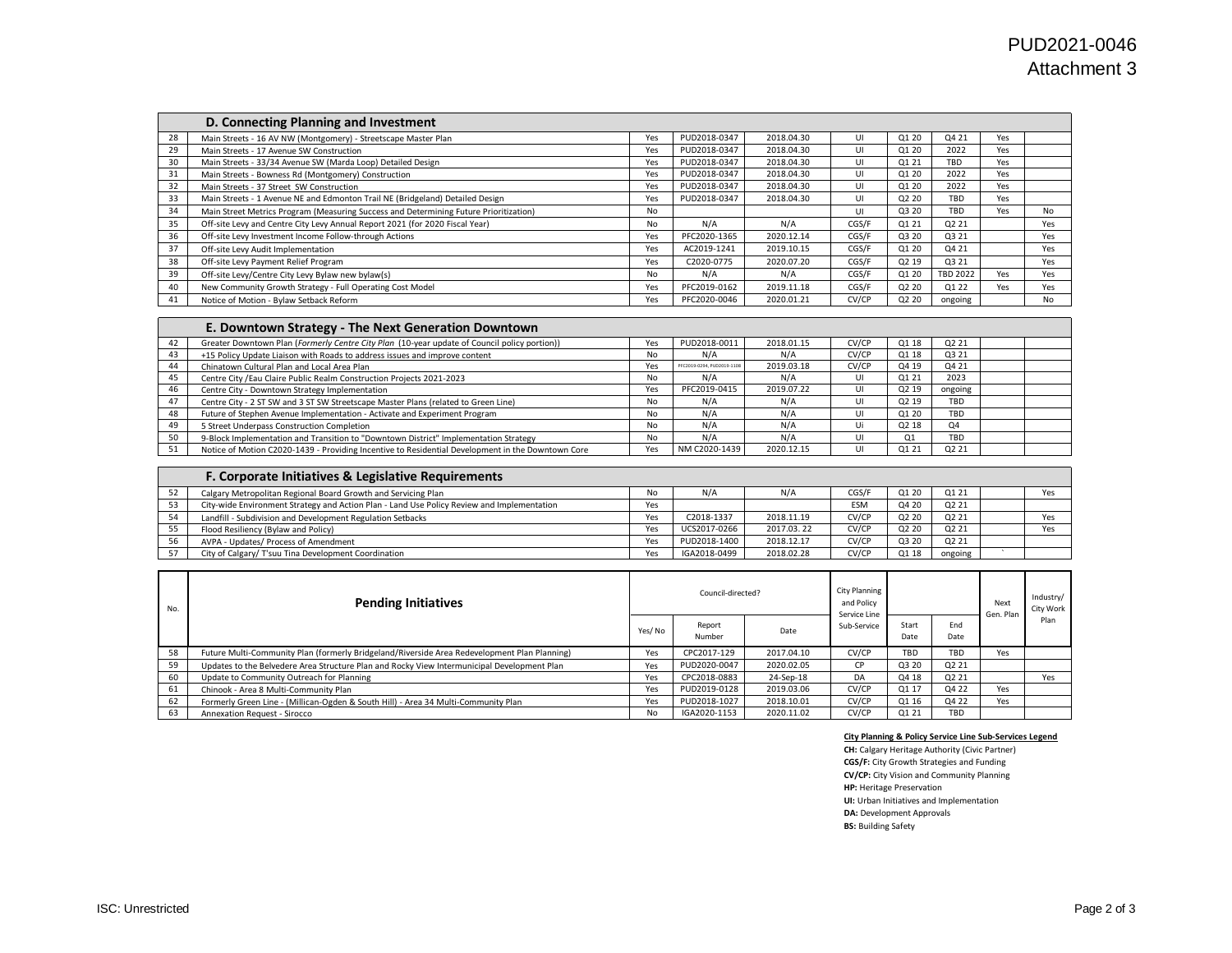|    | D. Connecting Planning and Investment                                                 |     |              |            |       |                   |                 |     |     |
|----|---------------------------------------------------------------------------------------|-----|--------------|------------|-------|-------------------|-----------------|-----|-----|
| 28 | Main Streets - 16 AV NW (Montgomery) - Streetscape Master Plan                        | Yes | PUD2018-0347 | 2018.04.30 |       | Q1 20             | Q4 21           | Yes |     |
| 29 | Main Streets - 17 Avenue SW Construction                                              | Yes | PUD2018-0347 | 2018.04.30 | UI    | Q1 20             | 2022            | Yes |     |
| 30 | Main Streets - 33/34 Avenue SW (Marda Loop) Detailed Design                           | Yes | PUD2018-0347 | 2018.04.30 | UI    | Q1 21             | TBD             | Yes |     |
| 31 | Main Streets - Bowness Rd (Montgomery) Construction                                   | Yes | PUD2018-0347 | 2018.04.30 | UI    | Q1 20             | 2022            | Yes |     |
| 32 | Main Streets - 37 Street SW Construction                                              | Yes | PUD2018-0347 | 2018.04.30 | UI    | Q1 20             | 2022            | Yes |     |
| 33 | Main Streets - 1 Avenue NE and Edmonton Trail NE (Bridgeland) Detailed Design         | Yes | PUD2018-0347 | 2018.04.30 | UI    | Q <sub>2</sub> 20 | <b>TBD</b>      | Yes |     |
| 34 | Main Street Metrics Program (Measuring Success and Determining Future Prioritization) | No  |              |            | UI    | Q3 20             | TBD.            | Yes | No  |
| 35 | Off-site Levy and Centre City Levy Annual Report 2021 (for 2020 Fiscal Year)          | No  | N/A          | N/A        | CGS/F | Q1 21             | Q2 21           |     | Yes |
| 36 | Off-site Levy Investment Income Follow-through Actions                                | Yes | PFC2020-1365 | 2020.12.14 | CGS/F | Q3 20             | Q3 21           |     | Yes |
| 37 | Off-site Levy Audit Implementation                                                    | Yes | AC2019-1241  | 2019.10.15 | CGS/F | Q1 20             | Q4 21           |     | Yes |
| 38 | Off-site Levy Payment Relief Program                                                  | Yes | C2020-0775   | 2020.07.20 | CGS/F | Q2 19             | Q3 21           |     | Yes |
| 39 | Off-site Levy/Centre City Levy Bylaw new bylaw(s)                                     | No  | N/A          | N/A        | CGS/F | Q1 20             | <b>TBD 2022</b> | Yes | Yes |
| 40 | New Community Growth Strategy - Full Operating Cost Model                             | Yes | PFC2019-0162 | 2019.11.18 | CGS/F | Q2 20             | Q1 22           | Yes | Yes |
| 41 | Notice of Motion - Bylaw Setback Reform                                               | Yes | PFC2020-0046 | 2020.01.21 | CV/CP | Q2 20             | ongoing         |     | No  |

|     | E. Downtown Strategy - The Next Generation Downtown                                               |     |                            |            |       |                   |                               |  |
|-----|---------------------------------------------------------------------------------------------------|-----|----------------------------|------------|-------|-------------------|-------------------------------|--|
| 42  | Greater Downtown Plan (Formerly Centre City Plan (10-year update of Council policy portion))      | Yes | PUD2018-0011               | 2018.01.15 | CV/CP | Q1 18             | Q <sub>2</sub> 2 <sub>1</sub> |  |
| 43  | +15 Policy Update Liaison with Roads to address issues and improve content                        | No  | N/A                        | N/A        | CV/CP | Q1 18             | Q3 21                         |  |
| 44  | Chinatown Cultural Plan and Local Area Plan                                                       | Yes | PFC2019-0294, PUD2019-1108 | 2019.03.18 | CV/CP | Q4 19             | Q4 21                         |  |
| 45  | Centre City / Eau Claire Public Realm Construction Projects 2021-2023                             | No  | N/A                        | N/A        | U     | Q1 21             | 2023                          |  |
| 46  | Centre City - Downtown Strategy Implementation                                                    | Yes | PFC2019-0415               | 2019.07.22 | UI    | Q <sub>2</sub> 19 | ongoing                       |  |
| 47  | Centre City - 2 ST SW and 3 ST SW Streetscape Master Plans (related to Green Line)                | No  | N/A                        | N/A        | UI    | Q <sub>2</sub> 19 | TBD                           |  |
| 48  | Future of Stephen Avenue Implementation - Activate and Experiment Program                         | No  | N/A                        | N/A        | UI    | 01 20             | TBD                           |  |
| -49 | 5 Street Underpass Construction Completion                                                        | No  | N/A                        | N/A        | Ui    | Q <sub>2</sub> 18 | Q4                            |  |
| 50  | 9-Block Implementation and Transition to "Downtown District" Implementation Strategy              | No  | N/A                        | N/A        | UI    | O <sub>1</sub>    | TBD                           |  |
| 51  | Notice of Motion C2020-1439 - Providing Incentive to Residential Development in the Downtown Core | Yes | NM C2020-1439              | 2020.12.15 |       | Q1 21             | Q <sub>2</sub> 2 <sub>1</sub> |  |

|    | <b>F. Corporate Initiatives &amp; Legislative Requirements</b>                             |     |              |            |            |       |         |     |
|----|--------------------------------------------------------------------------------------------|-----|--------------|------------|------------|-------|---------|-----|
| 52 | Calgary Metropolitan Regional Board Growth and Servicing Plan                              | No  | N/A          | N/A        | CGS/F      | Q1 20 | Q1 21   | Yes |
| 53 | City-wide Environment Strategy and Action Plan - Land Use Policy Review and Implementation | Yes |              |            | <b>ESM</b> | Q4 20 | Q2 21   |     |
| 54 | Landfill - Subdivision and Development Regulation Setbacks                                 | Yes | C2018-1337   | 2018.11.19 | CV/CP      | Q2 20 | Q2 21   | Yes |
|    | Flood Resiliency (Bylaw and Policy)                                                        | Yes | UCS2017-0266 | 2017.03.22 | CV/CP      | Q2 20 | Q2 21   | Yes |
| 56 | AVPA - Updates/ Process of Amendment                                                       | Yes | PUD2018-1400 | 2018.12.17 | CV/CP      | Q3 20 | Q2 21   |     |
|    | City of Calgary/ T'suu Tina Development Coordination                                       | Yes | IGA2018-0499 | 2018.02.28 | CV/CP      | Q1 18 | ongoing |     |

| No. | <b>Pending Initiatives</b>                                                                   |         | Council-directed? |            | City Planning<br>and Policy<br>Service Line |               |                    | Next<br>Gen. Plan | Industry/<br>City Work |
|-----|----------------------------------------------------------------------------------------------|---------|-------------------|------------|---------------------------------------------|---------------|--------------------|-------------------|------------------------|
|     |                                                                                              | Yes/ No | Report<br>Number  | Date       | Sub-Service                                 | Start<br>Date | <b>Fnd</b><br>Date |                   | Plan                   |
| 58  | Future Multi-Community Plan (formerly Bridgeland/Riverside Area Redevelopment Plan Planning) | Yes     | CPC2017-129       | 2017.04.10 | CV/CP                                       | TBD           | TBD                | Yes               |                        |
| 59  | Updates to the Belvedere Area Structure Plan and Rocky View Intermunicipal Development Plan  | Yes     | PUD2020-0047      | 2020.02.05 | CP.                                         | Q3 20         | Q <sub>2</sub> 21  |                   |                        |
| 60  | Update to Community Outreach for Planning                                                    | Yes     | CPC2018-0883      | 24-Sep-18  | DA                                          | Q4 18         | Q2 21              |                   | Yes                    |
| 61  | Chinook - Area 8 Multi-Community Plan                                                        | Yes     | PUD2019-0128      | 2019.03.06 | CV/CP                                       | Q1 17         | Q4 22              | Yes               |                        |
| 62  | Formerly Green Line - (Millican-Ogden & South Hill) - Area 34 Multi-Community Plan           | Yes     | PUD2018-1027      | 2018.10.01 | CV/CP                                       | Q1 16         | Q4 22              | Yes               |                        |
| 63  | <b>Annexation Request - Sirocco</b>                                                          | No      | IGA2020-1153      | 2020.11.02 | CV/CP                                       | Q1 21         | TBD                |                   |                        |

## **City Planning & Policy Service Line Sub-Services Legend**

**CH:** Calgary Heritage Authority (Civic Partner) **CGS/F:** City Growth Strategies and Funding **CV/CP:** City Vision and Community Planning **HP:** Heritage Preservation **UI:** Urban Initiatives and Implementation **DA:** Development Approvals **BS:** Building Safety